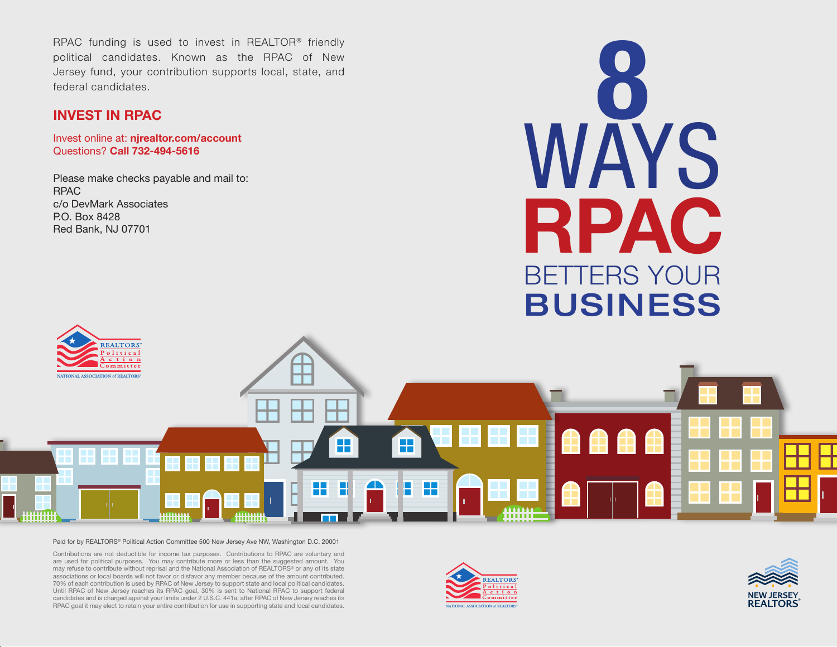RPAC funding is used to invest in REALTOR® friendly<br>political candidates. Known as the RPAC of New<br>Jersey fund, your contribution supports local, state, and<br>**INVEST IN RPAC**<br>Jevest online at **nirealter com/account** political candidates. Known as the RPAC of New Jersey fund, your contribution supports local, state, and federal candidates.

#### **INVEST IN RPAC**

Invest online at: **njrealtor.com/account** Questions? **Call 732-494-5616**

Please make checks payable and mail to: RPAC c/o DevMark Associates P.O. Box 8428 Red Bank, NJ 07701





#### Paid for by REALTORS® Political Action Committee 500 New Jersey Ave NW, Washington D.C. 20001

Contributions are not deductible for income tax purposes. Contributions to RPAC are voluntary and are used for political purposes. You may contribute more or less than the suggested amount. You may refuse to contribute without reprisal and the National Association of REALTORS® or any of its state associations or local boards will not favor or disfavor any member because of the amount contributed. 70% of each contribution is used by RPAC of New Jersey to support state and local political candidates. Until RPAC of New Jersey reaches its RPAC goal, 30% is sent to National RPAC to support federal candidates and is charged against your limits under 2 U.S.C. 441a; after RPAC of New Jersey reaches its RPAC goal it may elect to retain your entire contribution for use in supporting state and local candidates.